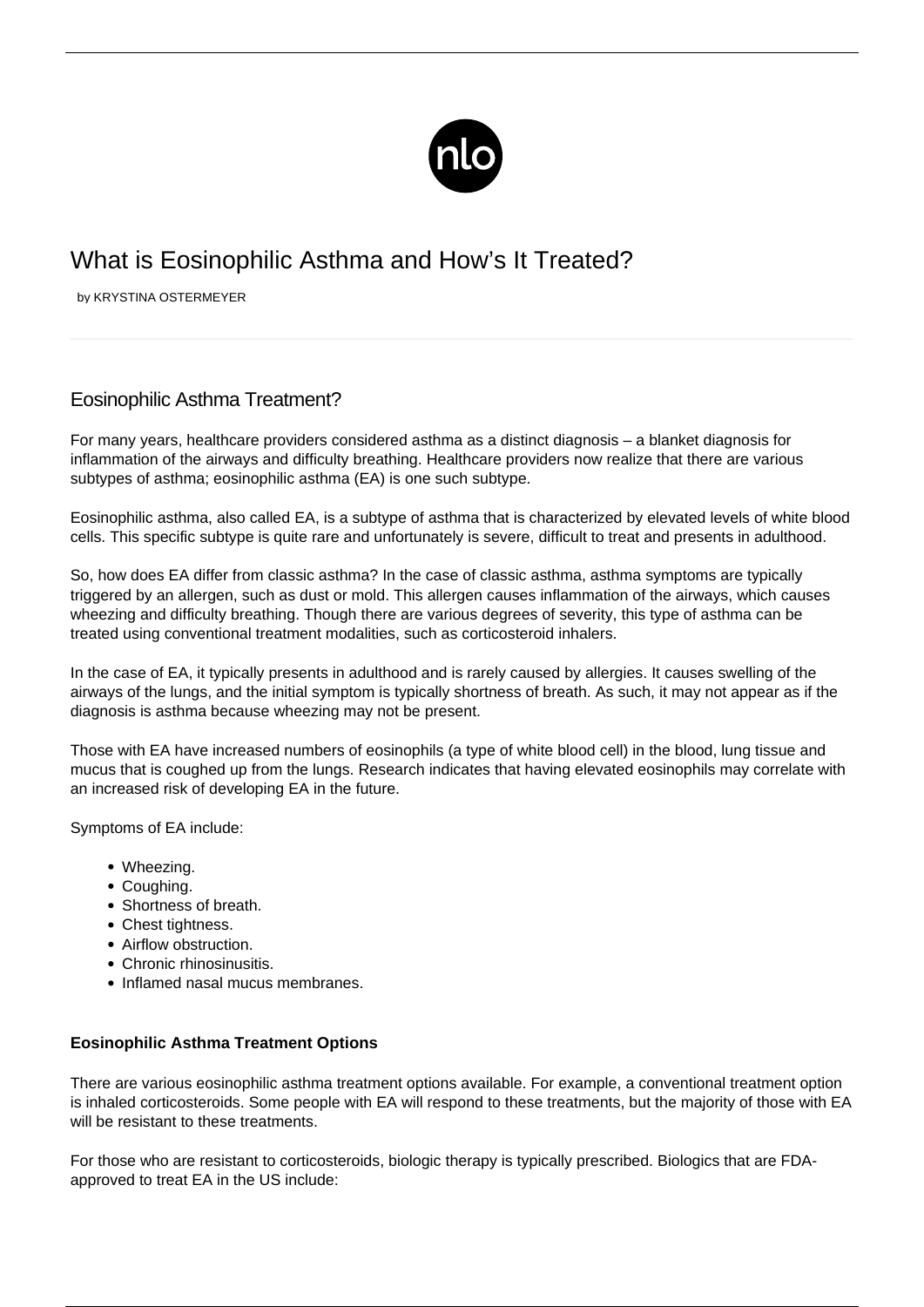

# What is Eosinophilic Asthma and How's It Treated?

by KRYSTINA OSTERMEYER

# Eosinophilic Asthma Treatment?

For many years, healthcare providers considered asthma as a distinct diagnosis – a blanket diagnosis for inflammation of the airways and difficulty breathing. Healthcare providers now realize that there are various subtypes of asthma; eosinophilic asthma (EA) is one such subtype.

Eosinophilic asthma, also called EA, is a subtype of asthma that is characterized by elevated levels of white blood cells. This specific subtype is quite rare and unfortunately is severe, difficult to treat and presents in adulthood.

So, how does EA differ from classic asthma? In the case of classic asthma, asthma symptoms are typically [triggered by an allergen](/allergic-asthma/), such as dust or mold. This allergen causes inflammation of the airways, which causes wheezing and difficulty breathing. Though there are various degrees of severity, this type of asthma can be treated using conventional treatment modalities, such as corticosteroid inhalers.

In the case of EA, it typically presents in adulthood and is rarely caused by allergies. It causes swelling of the airways of the lungs, and the initial symptom is typically shortness of breath. As such, it may not appear as if the diagnosis is asthma because wheezing may not be present.

Those with EA have increased numbers of eosinophils (a type of white blood cell) in the blood, lung tissue and mucus that is coughed up from the lungs. Research indicates that having elevated eosinophils may correlate with an increased risk of developing EA in the future.

Symptoms of EA include:

- Wheezing.
- Coughing.
- Shortness of breath.
- Chest tightness.
- Airflow obstruction.
- Chronic rhinosinusitis.
- Inflamed nasal mucus membranes.

## **Eosinophilic Asthma Treatment Options**

There are various eosinophilic asthma treatment options available. For example, a conventional treatment option is inhaled corticosteroids. Some people with EA will respond to these treatments, but the majority of those with EA will be resistant to these treatments.

For those who are resistant to corticosteroids, biologic therapy is typically prescribed. Biologics that are FDAapproved to treat EA in the US include: